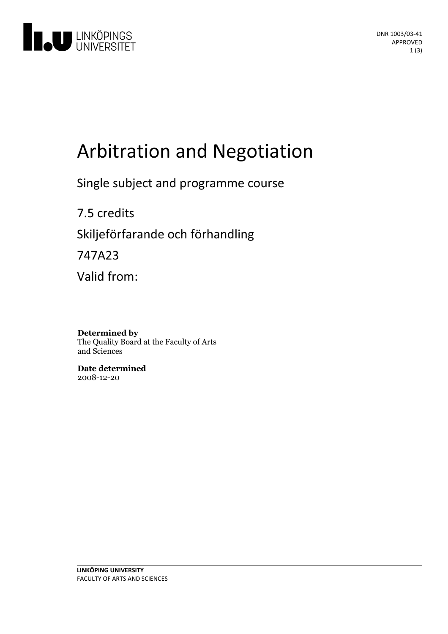

# Arbitration and Negotiation

Single subject and programme course

7.5 credits Skiljeförfarande och förhandling 747A23

Valid from:

**Determined by** The Quality Board at the Faculty of Arts and Sciences

**Date determined** 2008-12-20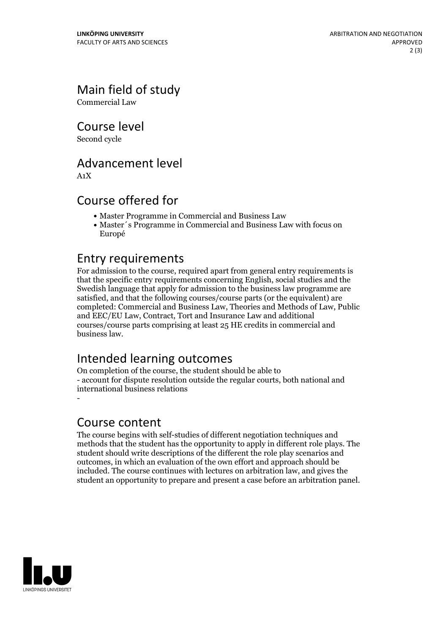Main field of study

Commercial Law

Course level

Second cycle

## Advancement level

A1X

## Course offered for

- Master Programme in Commercial and Business Law
- Master´s Programme in Commercial and Business Law with focus on Europé

#### Entry requirements

For admission to the course, required apart from general entry requirements is that the specific entry requirements concerning English, social studies and the Swedish language that apply for admission to the business law programme are satisfied, and that the following courses/course parts (or the equivalent) are completed: Commercial and Business Law, Theories and Methods of Law, Public and EEC/EU Law, Contract, Tort and Insurance Law and additional courses/course parts comprising at least 25 HE credits in commercial and business law.

# Intended learning outcomes

On completion of the course, the student should be able to - account for dispute resolution outside the regular courts, both national and international business relations -

#### Course content

The course begins with self-studies of different negotiation techniques and methods that the student has the opportunity to apply in different role plays. The student should write descriptions of the different the role play scenarios and outcomes, in which an evaluation of the own effort and approach should be included. The course continues with lectures on arbitration law, and gives the student an opportunity to prepare and present a case before an arbitration panel.